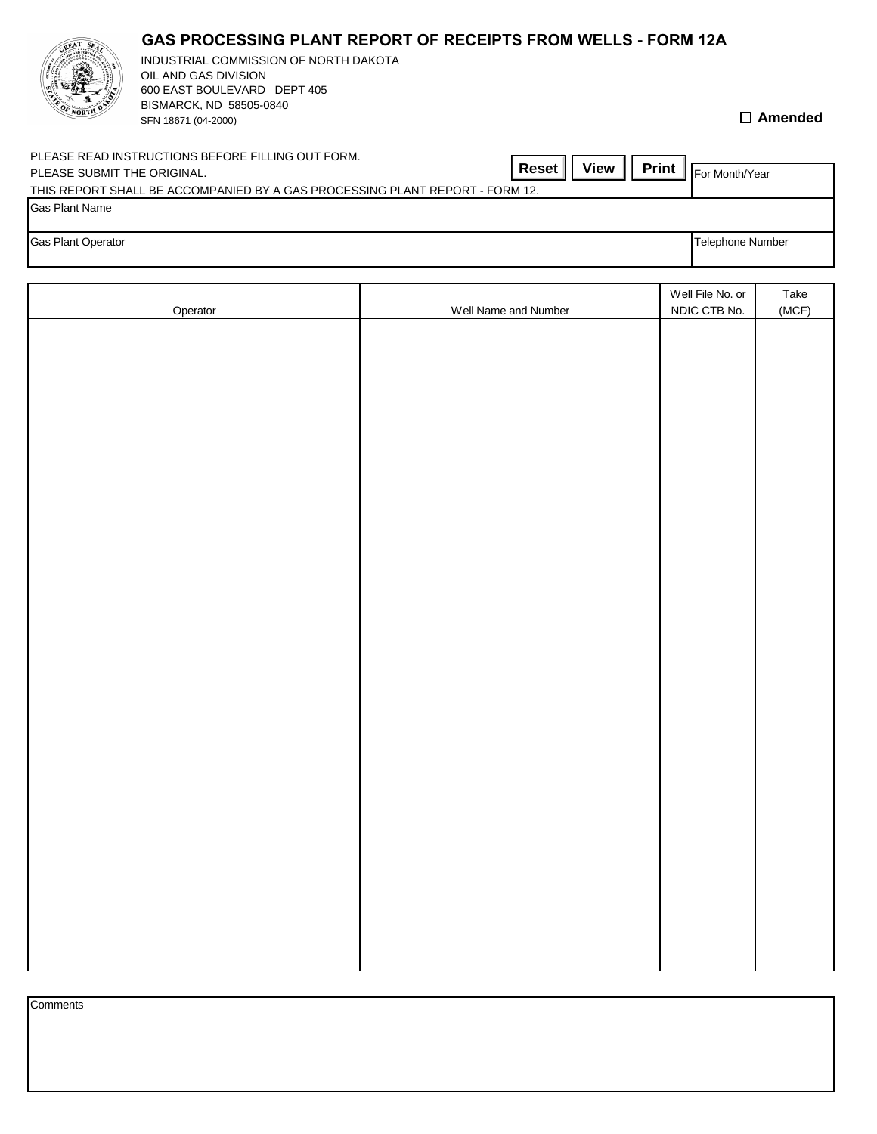| <b>SALE AND REAL PROPERTY</b> | 600 EAST BOULEVARD DEPT 405<br>BISMARCK, ND 58505-0840<br>SFN 18671 (04-2000)                                                                                                    | $\Box$ Amended   |
|-------------------------------|----------------------------------------------------------------------------------------------------------------------------------------------------------------------------------|------------------|
| PLEASE SUBMIT THE ORIGINAL.   | PLEASE READ INSTRUCTIONS BEFORE FILLING OUT FORM.<br><b>Print</b><br><b>View</b><br><b>Reset</b><br>THIS REPORT SHALL BE ACCOMPANIED BY A GAS PROCESSING PLANT REPORT - FORM 12. | For Month/Year   |
| Gas Plant Name                |                                                                                                                                                                                  |                  |
| <b>Gas Plant Operator</b>     |                                                                                                                                                                                  | Telephone Number |

|          |                      | Well File No. or | Take  |
|----------|----------------------|------------------|-------|
| Operator | Well Name and Number | NDIC CTB No.     | (MCF) |
|          |                      |                  |       |
|          |                      |                  |       |
|          |                      |                  |       |
|          |                      |                  |       |
|          |                      |                  |       |
|          |                      |                  |       |
|          |                      |                  |       |
|          |                      |                  |       |
|          |                      |                  |       |
|          |                      |                  |       |
|          |                      |                  |       |
|          |                      |                  |       |
|          |                      |                  |       |
|          |                      |                  |       |
|          |                      |                  |       |
|          |                      |                  |       |
|          |                      |                  |       |
|          |                      |                  |       |
|          |                      |                  |       |
|          |                      |                  |       |
|          |                      |                  |       |
|          |                      |                  |       |
|          |                      |                  |       |
|          |                      |                  |       |
|          |                      |                  |       |
|          |                      |                  |       |
|          |                      |                  |       |
|          |                      |                  |       |
|          |                      |                  |       |
|          |                      |                  |       |
|          |                      |                  |       |
|          |                      |                  |       |

| Comments |  |  |
|----------|--|--|
|          |  |  |
|          |  |  |
|          |  |  |
|          |  |  |

## **GAS PROCESSING PLANT REPORT OF RECEIPTS FROM WELLS - FORM 12A**

INDUSTRIAL COMMISSION OF NORTH DAKOTA

OIL AND GAS DIVISION